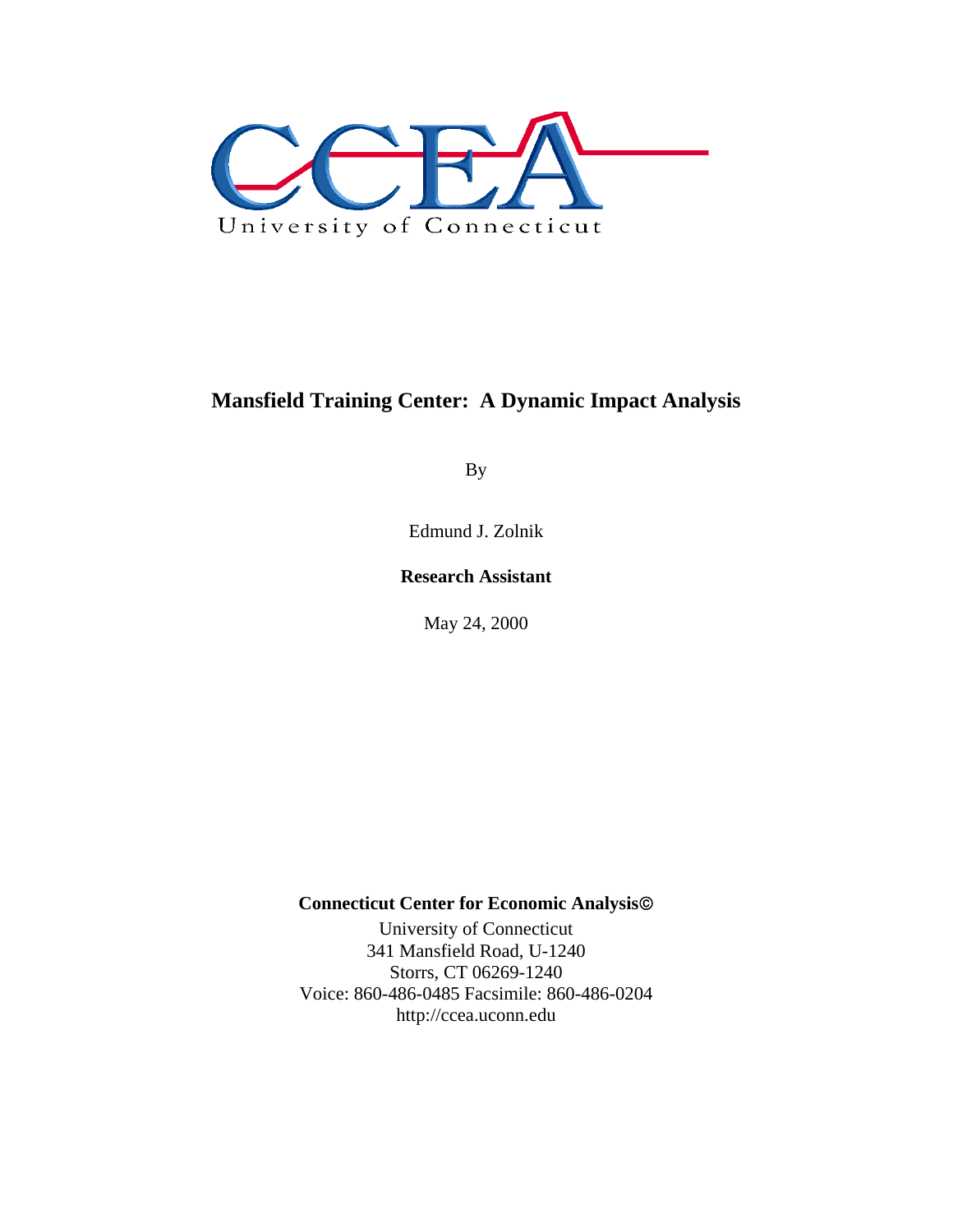

# **Mansfield Training Center: A Dynamic Impact Analysis**

By

Edmund J. Zolnik

## **Research Assistant**

May 24, 2000

## **Connecticut Center for Economic Analysis**©

University of Connecticut 341 Mansfield Road, U-1240 Storrs, CT 06269-1240 Voice: 860-486-0485 Facsimile: 860-486-0204 http://ccea.uconn.edu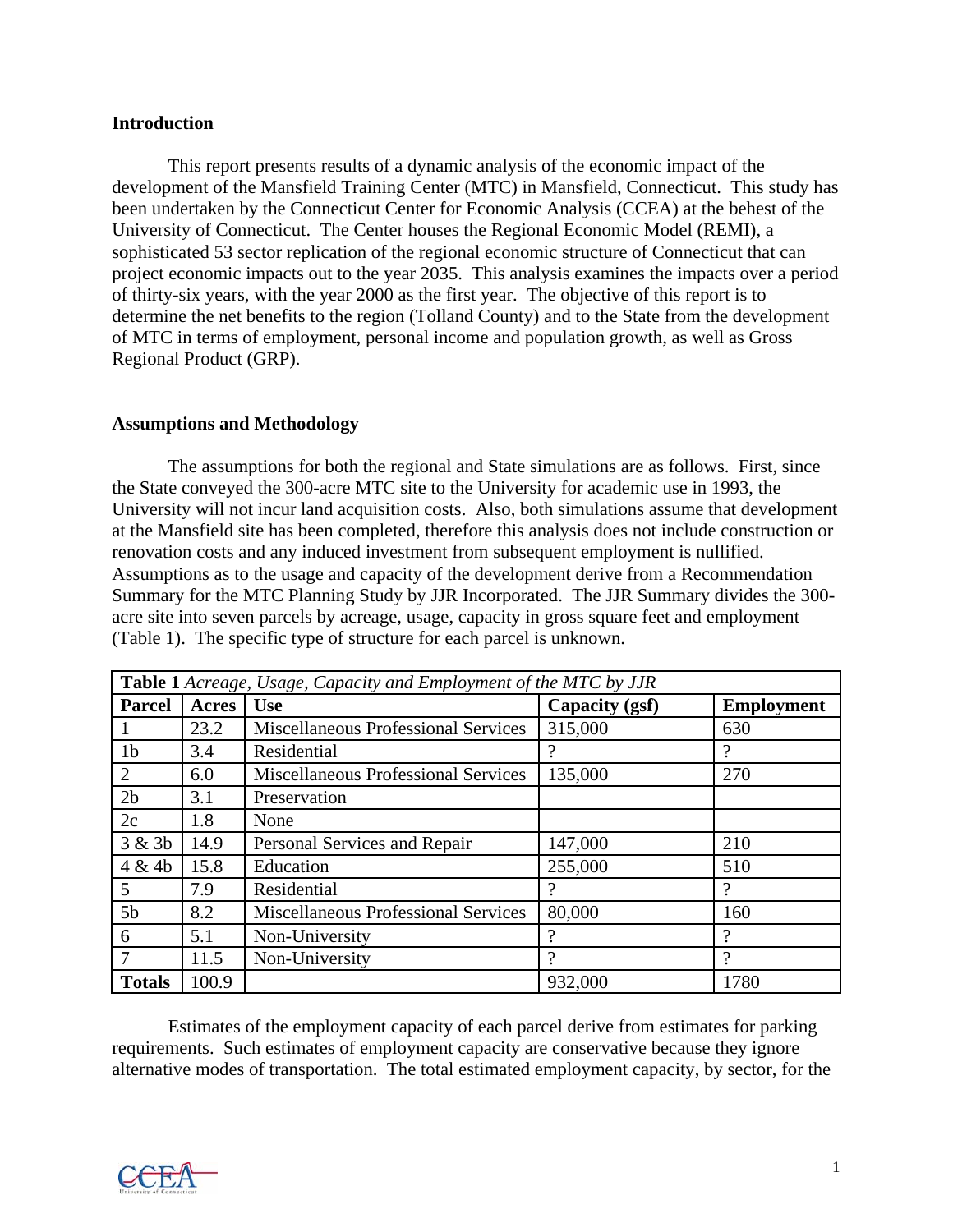#### **Introduction**

This report presents results of a dynamic analysis of the economic impact of the development of the Mansfield Training Center (MTC) in Mansfield, Connecticut. This study has been undertaken by the Connecticut Center for Economic Analysis (CCEA) at the behest of the University of Connecticut. The Center houses the Regional Economic Model (REMI), a sophisticated 53 sector replication of the regional economic structure of Connecticut that can project economic impacts out to the year 2035. This analysis examines the impacts over a period of thirty-six years, with the year 2000 as the first year. The objective of this report is to determine the net benefits to the region (Tolland County) and to the State from the development of MTC in terms of employment, personal income and population growth, as well as Gross Regional Product (GRP).

#### **Assumptions and Methodology**

The assumptions for both the regional and State simulations are as follows. First, since the State conveyed the 300-acre MTC site to the University for academic use in 1993, the University will not incur land acquisition costs. Also, both simulations assume that development at the Mansfield site has been completed, therefore this analysis does not include construction or renovation costs and any induced investment from subsequent employment is nullified. Assumptions as to the usage and capacity of the development derive from a Recommendation Summary for the MTC Planning Study by JJR Incorporated. The JJR Summary divides the 300 acre site into seven parcels by acreage, usage, capacity in gross square feet and employment (Table 1). The specific type of structure for each parcel is unknown.

| <b>Table 1</b> Acreage, Usage, Capacity and Employment of the MTC by JJR |              |                                            |                |                   |  |
|--------------------------------------------------------------------------|--------------|--------------------------------------------|----------------|-------------------|--|
| <b>Parcel</b>                                                            | <b>Acres</b> | <b>Use</b>                                 | Capacity (gsf) | <b>Employment</b> |  |
|                                                                          | 23.2         | <b>Miscellaneous Professional Services</b> | 315,000        | 630               |  |
| 1 <sub>b</sub>                                                           | 3.4          | Residential                                | 9              |                   |  |
| 2                                                                        | 6.0          | <b>Miscellaneous Professional Services</b> | 135,000        | 270               |  |
| 2 <sub>b</sub>                                                           | 3.1          | Preservation                               |                |                   |  |
| 2c                                                                       | 1.8          | None                                       |                |                   |  |
| 3 & 3b                                                                   | 14.9         | Personal Services and Repair               | 147,000        | 210               |  |
| 4 & 4b                                                                   | 15.8         | Education                                  | 255,000        | 510               |  |
| 5                                                                        | 7.9          | Residential                                | ?              | 9                 |  |
| 5 <sub>b</sub>                                                           | 8.2          | <b>Miscellaneous Professional Services</b> | 80,000         | 160               |  |
| 6                                                                        | 5.1          | Non-University                             |                |                   |  |
| 7                                                                        | 11.5         | Non-University                             | 9              | $\gamma$          |  |
| <b>Totals</b>                                                            | 100.9        |                                            | 932,000        | 1780              |  |

Estimates of the employment capacity of each parcel derive from estimates for parking requirements. Such estimates of employment capacity are conservative because they ignore alternative modes of transportation. The total estimated employment capacity, by sector, for the

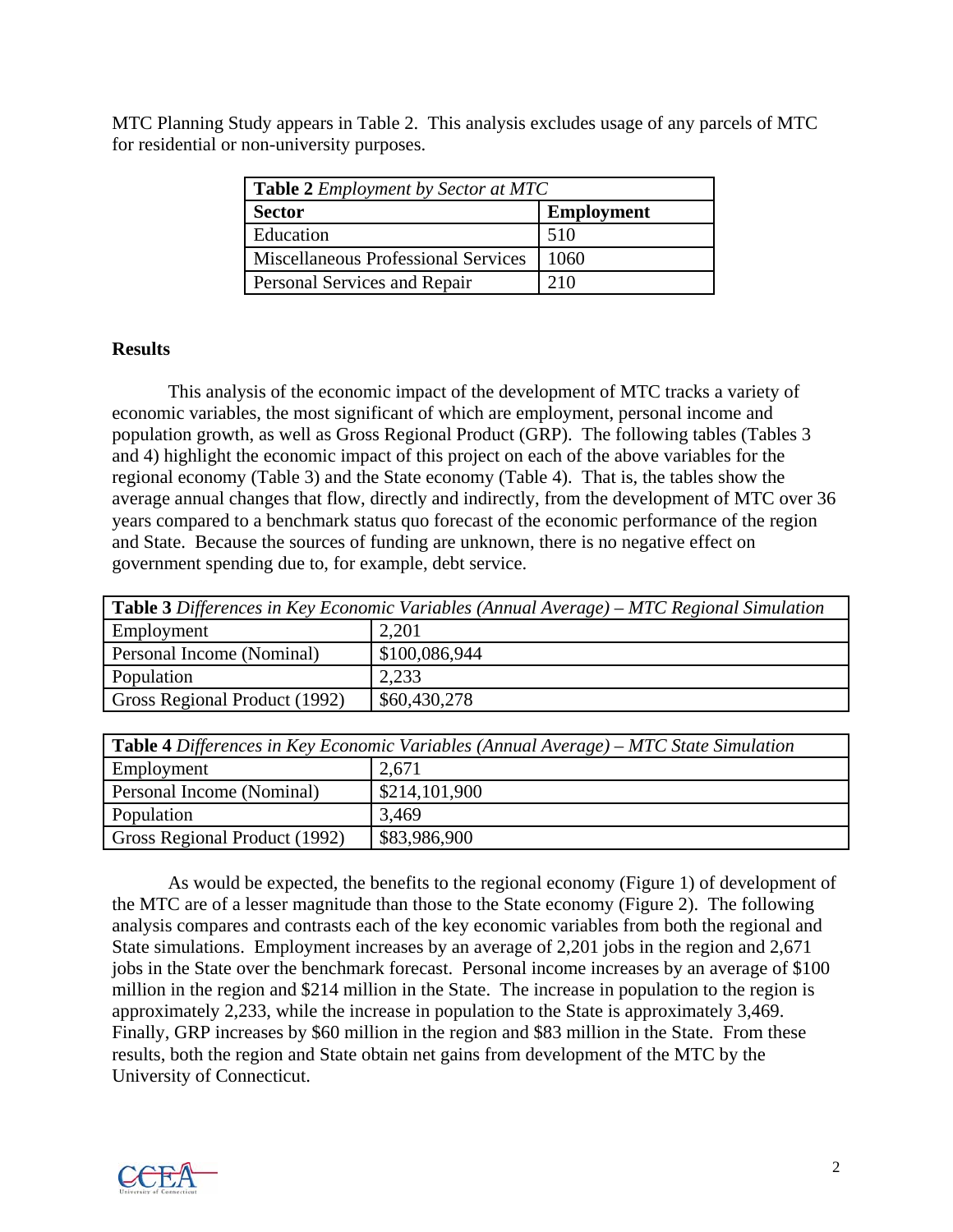MTC Planning Study appears in Table 2. This analysis excludes usage of any parcels of MTC for residential or non-university purposes.

| <b>Table 2</b> <i>Employment by Sector at MTC</i> |                   |  |  |
|---------------------------------------------------|-------------------|--|--|
| <b>Sector</b>                                     | <b>Employment</b> |  |  |
| Education                                         | 510               |  |  |
| <b>Miscellaneous Professional Services</b>        | 1060              |  |  |
| Personal Services and Repair                      | 210               |  |  |

### **Results**

 This analysis of the economic impact of the development of MTC tracks a variety of economic variables, the most significant of which are employment, personal income and population growth, as well as Gross Regional Product (GRP). The following tables (Tables 3 and 4) highlight the economic impact of this project on each of the above variables for the regional economy (Table 3) and the State economy (Table 4). That is, the tables show the average annual changes that flow, directly and indirectly, from the development of MTC over 36 years compared to a benchmark status quo forecast of the economic performance of the region and State. Because the sources of funding are unknown, there is no negative effect on government spending due to, for example, debt service.

| <b>Table 3</b> Differences in Key Economic Variables (Annual Average) – MTC Regional Simulation |               |  |  |  |
|-------------------------------------------------------------------------------------------------|---------------|--|--|--|
| Employment                                                                                      | 2,201         |  |  |  |
| Personal Income (Nominal)                                                                       | \$100,086,944 |  |  |  |
| Population                                                                                      | 2,233         |  |  |  |
| Gross Regional Product (1992)                                                                   | \$60,430,278  |  |  |  |
|                                                                                                 |               |  |  |  |

| <b>Table 4</b> Differences in Key Economic Variables (Annual Average) – MTC State Simulation |               |  |  |  |
|----------------------------------------------------------------------------------------------|---------------|--|--|--|
| Employment                                                                                   | 2,671         |  |  |  |
| Personal Income (Nominal)                                                                    | \$214,101,900 |  |  |  |
| Population                                                                                   | 3,469         |  |  |  |
| Gross Regional Product (1992)                                                                | \$83,986,900  |  |  |  |

As would be expected, the benefits to the regional economy (Figure 1) of development of the MTC are of a lesser magnitude than those to the State economy (Figure 2). The following analysis compares and contrasts each of the key economic variables from both the regional and State simulations. Employment increases by an average of 2,201 jobs in the region and 2,671 jobs in the State over the benchmark forecast. Personal income increases by an average of \$100 million in the region and \$214 million in the State. The increase in population to the region is approximately 2,233, while the increase in population to the State is approximately 3,469. Finally, GRP increases by \$60 million in the region and \$83 million in the State. From these results, both the region and State obtain net gains from development of the MTC by the University of Connecticut.

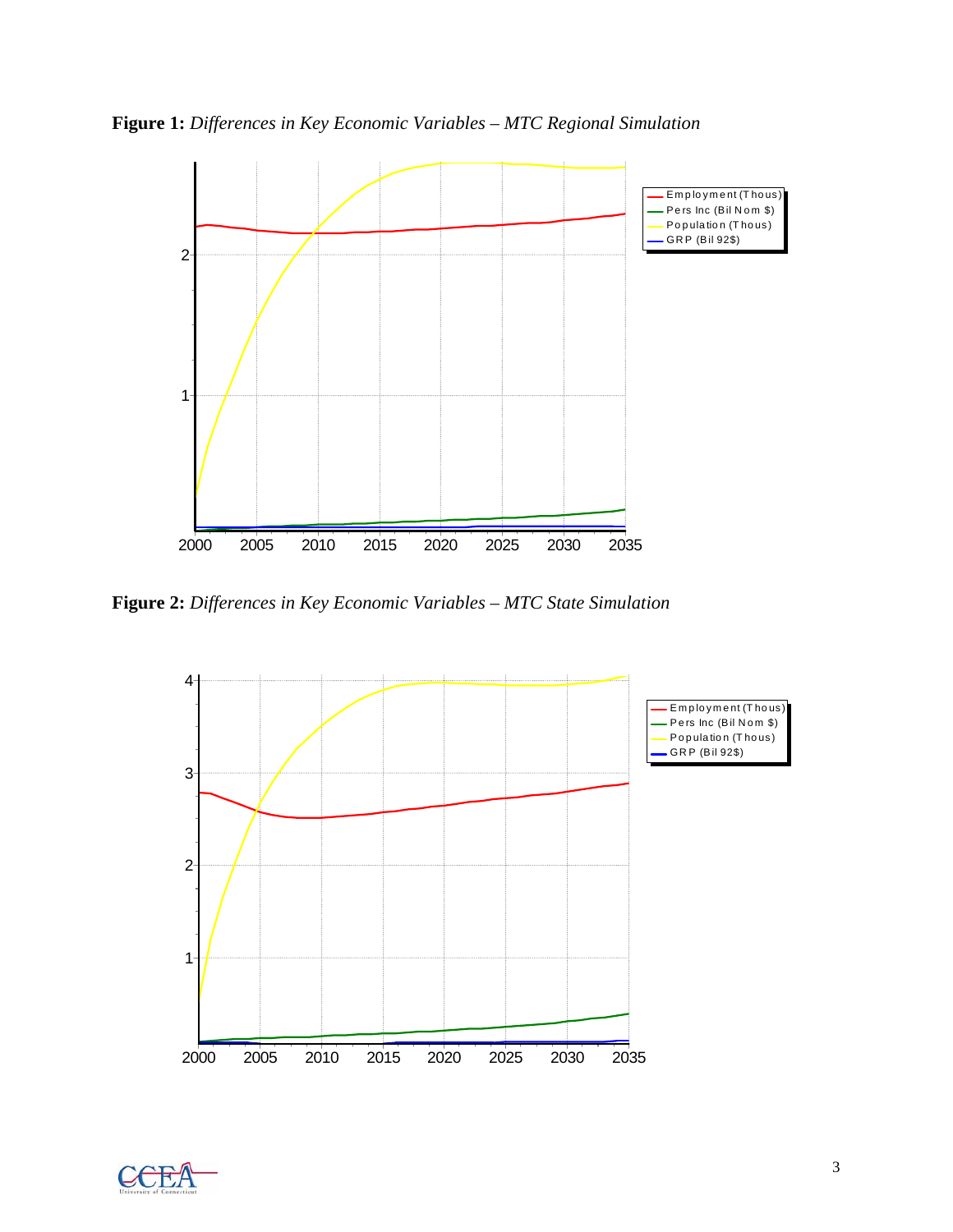**Figure 1:** *Differences in Key Economic Variables – MTC Regional Simulation*



**Figure 2:** *Differences in Key Economic Variables – MTC State Simulation*